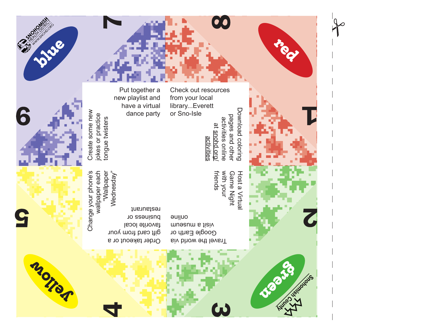